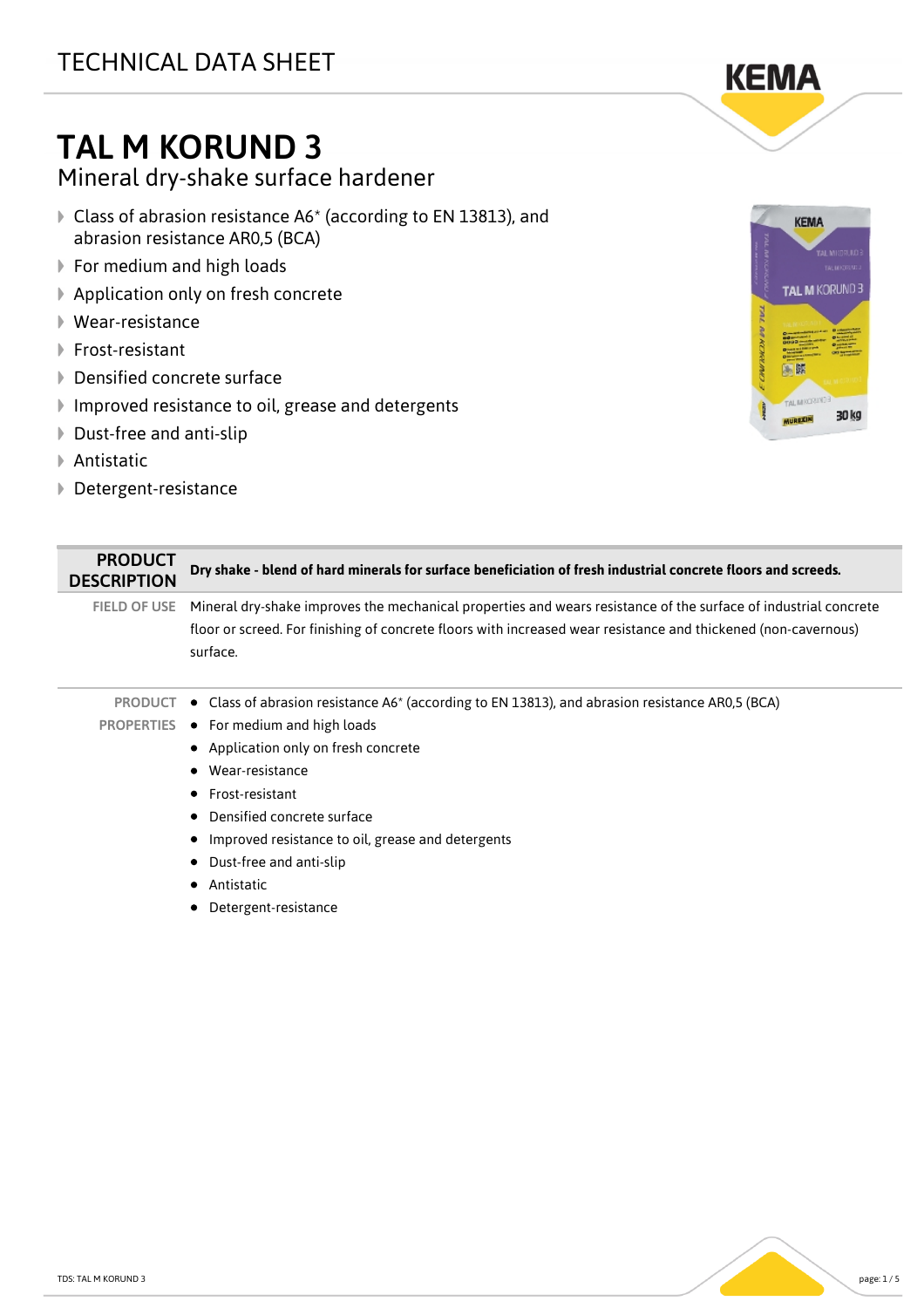## TAL M KORUND 3

Mineral dry-shake surface hardener

- Class of abrasion resistance A6\* (according to EN 13813), and abrasion resistance AR0,5 (BCA)
- ▶ For medium and high loads
- ▶ Application only on fresh concrete
- Wear-resistance
- **▶ Frost-resistant**
- ▶ Densified concrete surface
- Improved resistance to oil, grease and detergents
- ▶ Dust-free and anti-slip
- **▶ Antistatic**
- Detergent-resistance

PRODUCT



| FIELD OF USE Mineral dry-shake improves the mechanical properties and wears resistance of the surface of industrial concrete<br>floor or screed. For finishing of concrete floors with increased wear resistance and thickened (non-cavernous)<br>surface. |
|------------------------------------------------------------------------------------------------------------------------------------------------------------------------------------------------------------------------------------------------------------|
| <b>PRODUCT</b> • Class of abrasion resistance $A6*$ (according to EN 13813), and abrasion resistance AR0,5 (BCA)                                                                                                                                           |
| PROPERTIES ● For medium and high loads                                                                                                                                                                                                                     |
| • Application only on fresh concrete                                                                                                                                                                                                                       |
| Wear-resistance                                                                                                                                                                                                                                            |
| • Frost-resistant                                                                                                                                                                                                                                          |
| Densified concrete surface                                                                                                                                                                                                                                 |
| • Improved resistance to oil, grease and detergents                                                                                                                                                                                                        |
| Dust-free and anti-slip                                                                                                                                                                                                                                    |

DESCRIPTION **Dry shake - blend of hard minerals for surface beneficiation of fresh industrial concrete floors and screeds.**

- **•** Antistatic
- Detergent-resistance

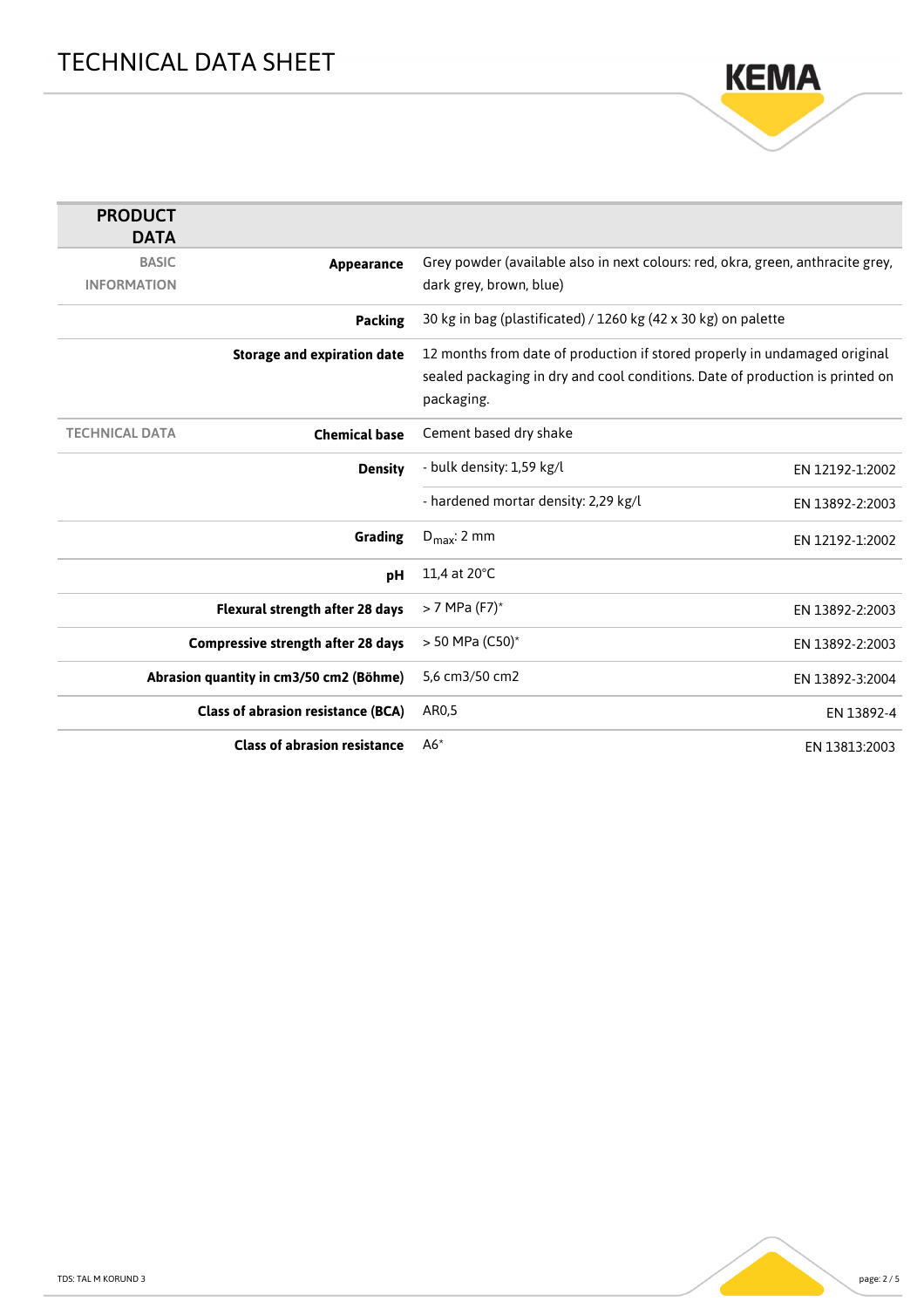

| <b>PRODUCT</b>                            |                                    |                                                                                 |                 |
|-------------------------------------------|------------------------------------|---------------------------------------------------------------------------------|-----------------|
| <b>DATA</b>                               |                                    |                                                                                 |                 |
| <b>BASIC</b>                              | Appearance                         | Grey powder (available also in next colours: red, okra, green, anthracite grey, |                 |
| <b>INFORMATION</b>                        |                                    | dark grey, brown, blue)                                                         |                 |
|                                           | <b>Packing</b>                     | 30 kg in bag (plastificated) / 1260 kg (42 x 30 kg) on palette                  |                 |
|                                           | <b>Storage and expiration date</b> | 12 months from date of production if stored properly in undamaged original      |                 |
|                                           |                                    | sealed packaging in dry and cool conditions. Date of production is printed on   |                 |
|                                           |                                    | packaging.                                                                      |                 |
| <b>TECHNICAL DATA</b>                     | <b>Chemical base</b>               | Cement based dry shake                                                          |                 |
|                                           |                                    |                                                                                 |                 |
|                                           | <b>Density</b>                     | - bulk density: 1,59 kg/l                                                       | EN 12192-1:2002 |
|                                           |                                    | - hardened mortar density: 2,29 kg/l                                            | EN 13892-2:2003 |
|                                           | <b>Grading</b>                     | $D_{\text{max}}$ : 2 mm                                                         | EN 12192-1:2002 |
|                                           | pH                                 | 11,4 at 20°C                                                                    |                 |
| Flexural strength after 28 days           |                                    | $> 7$ MPa (F7) <sup>*</sup>                                                     | EN 13892-2:2003 |
| <b>Compressive strength after 28 days</b> |                                    | $> 50$ MPa (C50)*                                                               | EN 13892-2:2003 |
| Abrasion quantity in cm3/50 cm2 (Böhme)   |                                    | 5.6 cm3/50 cm2                                                                  | EN 13892-3:2004 |
| <b>Class of abrasion resistance (BCA)</b> |                                    | AR0,5                                                                           | EN 13892-4      |
| <b>Class of abrasion resistance</b>       |                                    | $A6*$                                                                           | EN 13813:2003   |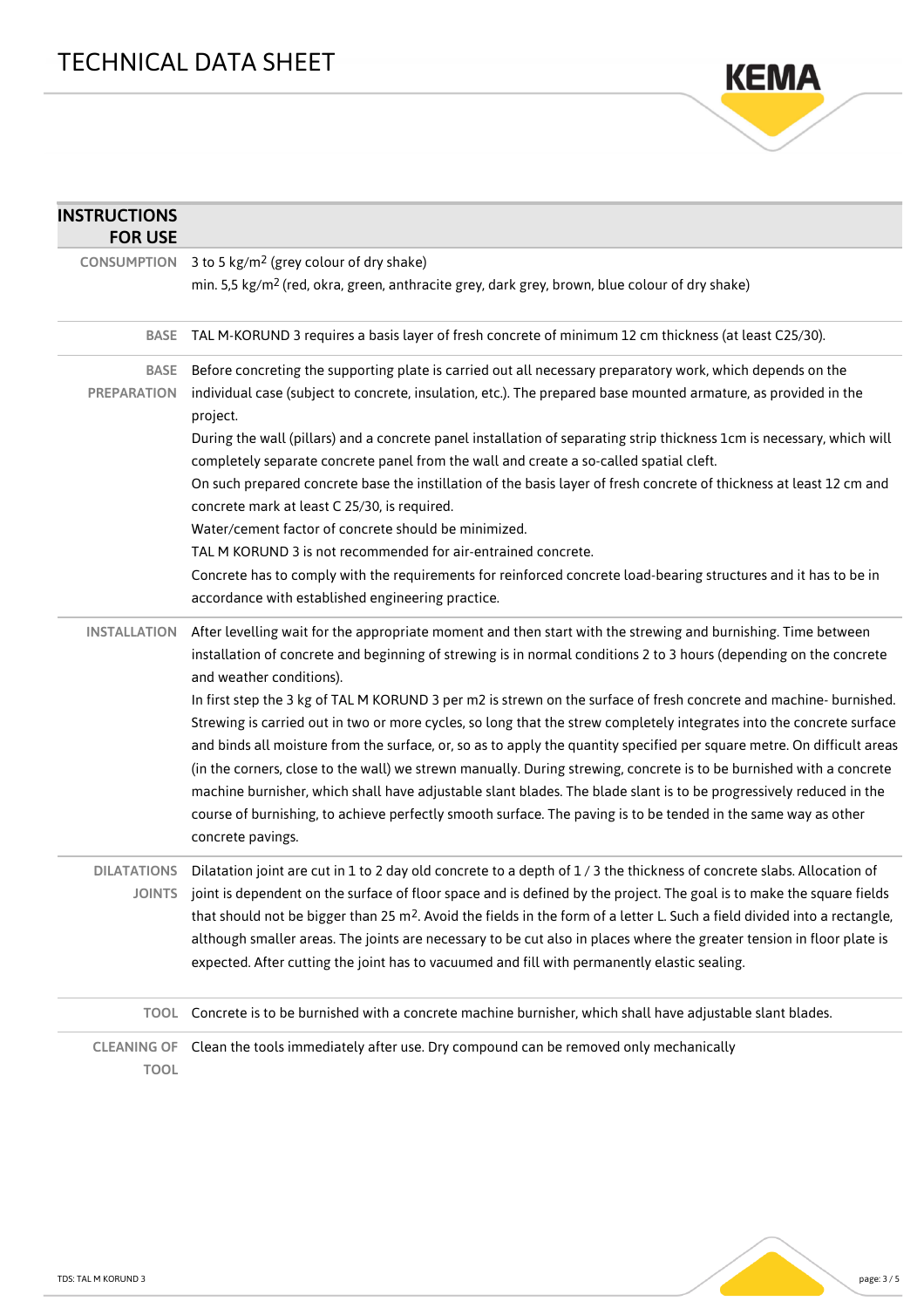

| <b>INSTRUCTIONS</b><br><b>FOR USE</b> |                                                                                                                                                                                                                                                                                                                                                                                                                                                                                                                                                                                                                                                                                                                                                             |
|---------------------------------------|-------------------------------------------------------------------------------------------------------------------------------------------------------------------------------------------------------------------------------------------------------------------------------------------------------------------------------------------------------------------------------------------------------------------------------------------------------------------------------------------------------------------------------------------------------------------------------------------------------------------------------------------------------------------------------------------------------------------------------------------------------------|
| <b>CONSUMPTION</b>                    | 3 to 5 kg/m <sup>2</sup> (grey colour of dry shake)<br>min. 5,5 kg/m <sup>2</sup> (red, okra, green, anthracite grey, dark grey, brown, blue colour of dry shake)                                                                                                                                                                                                                                                                                                                                                                                                                                                                                                                                                                                           |
| <b>BASE</b>                           | TAL M-KORUND 3 requires a basis layer of fresh concrete of minimum 12 cm thickness (at least C25/30).                                                                                                                                                                                                                                                                                                                                                                                                                                                                                                                                                                                                                                                       |
| <b>BASE</b><br><b>PREPARATION</b>     | Before concreting the supporting plate is carried out all necessary preparatory work, which depends on the<br>individual case (subject to concrete, insulation, etc.). The prepared base mounted armature, as provided in the<br>project.                                                                                                                                                                                                                                                                                                                                                                                                                                                                                                                   |
|                                       | During the wall (pillars) and a concrete panel installation of separating strip thickness 1cm is necessary, which will<br>completely separate concrete panel from the wall and create a so-called spatial cleft.                                                                                                                                                                                                                                                                                                                                                                                                                                                                                                                                            |
|                                       | On such prepared concrete base the instillation of the basis layer of fresh concrete of thickness at least 12 cm and<br>concrete mark at least C 25/30, is required.                                                                                                                                                                                                                                                                                                                                                                                                                                                                                                                                                                                        |
|                                       | Water/cement factor of concrete should be minimized.                                                                                                                                                                                                                                                                                                                                                                                                                                                                                                                                                                                                                                                                                                        |
|                                       | TAL M KORUND 3 is not recommended for air-entrained concrete.                                                                                                                                                                                                                                                                                                                                                                                                                                                                                                                                                                                                                                                                                               |
|                                       | Concrete has to comply with the requirements for reinforced concrete load-bearing structures and it has to be in<br>accordance with established engineering practice.                                                                                                                                                                                                                                                                                                                                                                                                                                                                                                                                                                                       |
| <b>INSTALLATION</b>                   | After levelling wait for the appropriate moment and then start with the strewing and burnishing. Time between<br>installation of concrete and beginning of strewing is in normal conditions 2 to 3 hours (depending on the concrete<br>and weather conditions).                                                                                                                                                                                                                                                                                                                                                                                                                                                                                             |
|                                       | In first step the 3 kg of TAL M KORUND 3 per m2 is strewn on the surface of fresh concrete and machine- burnished.<br>Strewing is carried out in two or more cycles, so long that the strew completely integrates into the concrete surface<br>and binds all moisture from the surface, or, so as to apply the quantity specified per square metre. On difficult areas<br>(in the corners, close to the wall) we strewn manually. During strewing, concrete is to be burnished with a concrete<br>machine burnisher, which shall have adjustable slant blades. The blade slant is to be progressively reduced in the<br>course of burnishing, to achieve perfectly smooth surface. The paving is to be tended in the same way as other<br>concrete pavings. |
|                                       | DILATATIONS Dilatation joint are cut in 1 to 2 day old concrete to a depth of 1/3 the thickness of concrete slabs. Allocation of<br>JOINTS joint is dependent on the surface of floor space and is defined by the project. The goal is to make the square fields<br>that should not be bigger than 25 m <sup>2</sup> . Avoid the fields in the form of a letter L. Such a field divided into a rectangle,<br>although smaller areas. The joints are necessary to be cut also in places where the greater tension in floor plate is<br>expected. After cutting the joint has to vacuumed and fill with permanently elastic sealing.                                                                                                                          |
| <b>TOOL</b>                           | Concrete is to be burnished with a concrete machine burnisher, which shall have adjustable slant blades.                                                                                                                                                                                                                                                                                                                                                                                                                                                                                                                                                                                                                                                    |
| <b>CLEANING OF</b><br><b>TOOL</b>     | Clean the tools immediately after use. Dry compound can be removed only mechanically                                                                                                                                                                                                                                                                                                                                                                                                                                                                                                                                                                                                                                                                        |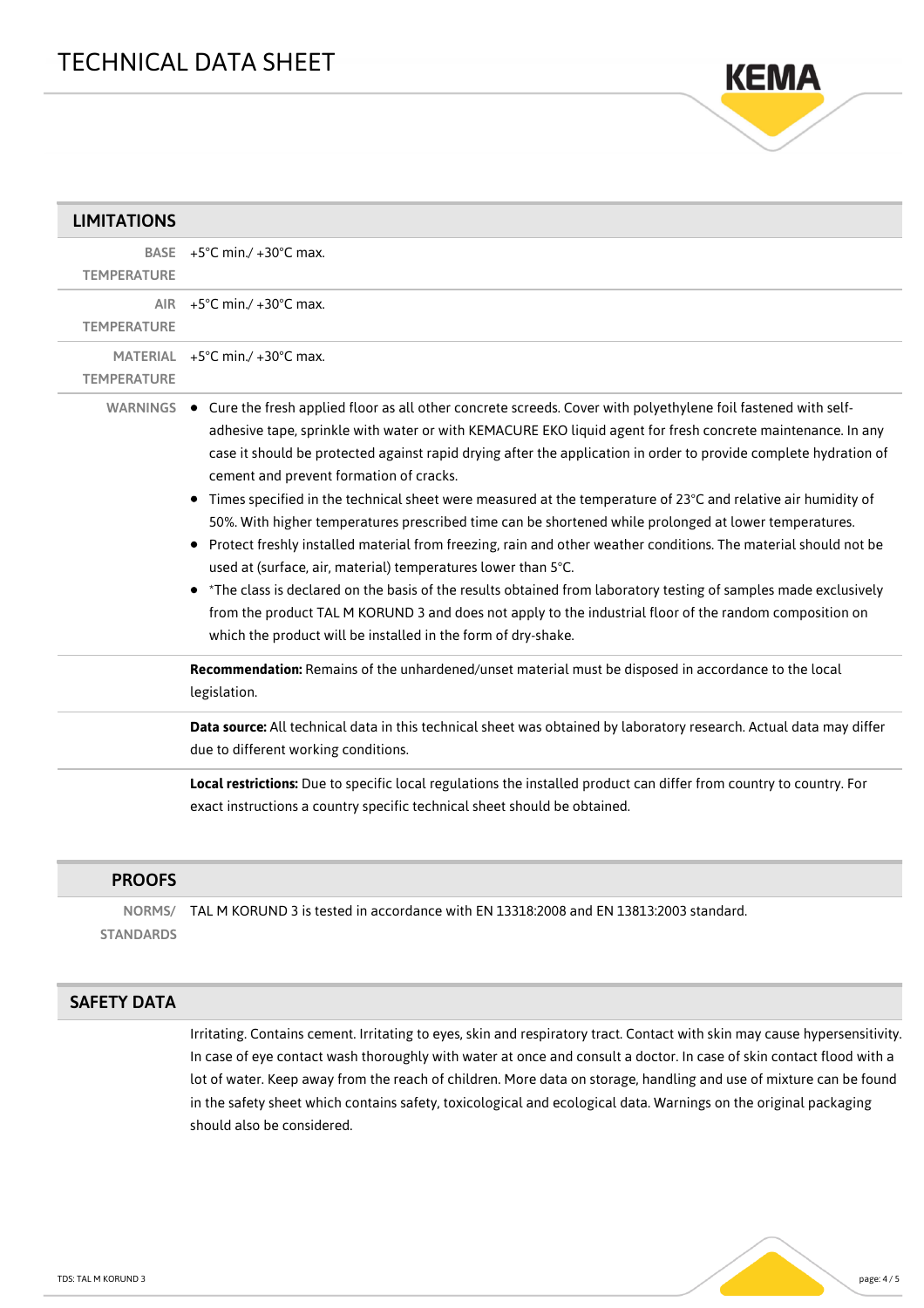

| <b>LIMITATIONS</b> |                                                                                                                                                                                                                                                                                                                                                                                                                                                                                                                                                                                                                                                                                                                                                                                                                                                                                                                                                                                                                                                                                                                                                                                                                                                                                                                                                                                                                                                                                                                                                                                                                                     |
|--------------------|-------------------------------------------------------------------------------------------------------------------------------------------------------------------------------------------------------------------------------------------------------------------------------------------------------------------------------------------------------------------------------------------------------------------------------------------------------------------------------------------------------------------------------------------------------------------------------------------------------------------------------------------------------------------------------------------------------------------------------------------------------------------------------------------------------------------------------------------------------------------------------------------------------------------------------------------------------------------------------------------------------------------------------------------------------------------------------------------------------------------------------------------------------------------------------------------------------------------------------------------------------------------------------------------------------------------------------------------------------------------------------------------------------------------------------------------------------------------------------------------------------------------------------------------------------------------------------------------------------------------------------------|
| <b>TEMPERATURE</b> | BASE $+5^{\circ}$ C min./ $+30^{\circ}$ C max.                                                                                                                                                                                                                                                                                                                                                                                                                                                                                                                                                                                                                                                                                                                                                                                                                                                                                                                                                                                                                                                                                                                                                                                                                                                                                                                                                                                                                                                                                                                                                                                      |
| <b>TEMPERATURE</b> | AIR +5°C min./ +30°C max.                                                                                                                                                                                                                                                                                                                                                                                                                                                                                                                                                                                                                                                                                                                                                                                                                                                                                                                                                                                                                                                                                                                                                                                                                                                                                                                                                                                                                                                                                                                                                                                                           |
| <b>TEMPERATURE</b> | MATERIAL $+5^{\circ}$ C min./ $+30^{\circ}$ C max.                                                                                                                                                                                                                                                                                                                                                                                                                                                                                                                                                                                                                                                                                                                                                                                                                                                                                                                                                                                                                                                                                                                                                                                                                                                                                                                                                                                                                                                                                                                                                                                  |
|                    | WARNINGS . Cure the fresh applied floor as all other concrete screeds. Cover with polyethylene foil fastened with self-<br>adhesive tape, sprinkle with water or with KEMACURE EKO liquid agent for fresh concrete maintenance. In any<br>case it should be protected against rapid drying after the application in order to provide complete hydration of<br>cement and prevent formation of cracks.<br>Times specified in the technical sheet were measured at the temperature of $23^{\circ}$ C and relative air humidity of<br>50%. With higher temperatures prescribed time can be shortened while prolonged at lower temperatures.<br>Protect freshly installed material from freezing, rain and other weather conditions. The material should not be<br>$\bullet$<br>used at (surface, air, material) temperatures lower than 5°C.<br>*The class is declared on the basis of the results obtained from laboratory testing of samples made exclusively<br>from the product TAL M KORUND 3 and does not apply to the industrial floor of the random composition on<br>which the product will be installed in the form of dry-shake.<br>Recommendation: Remains of the unhardened/unset material must be disposed in accordance to the local<br>legislation.<br>Data source: All technical data in this technical sheet was obtained by laboratory research. Actual data may differ<br>due to different working conditions.<br>Local restrictions: Due to specific local regulations the installed product can differ from country to country. For<br>exact instructions a country specific technical sheet should be obtained. |
| <b>PROOFS</b>      |                                                                                                                                                                                                                                                                                                                                                                                                                                                                                                                                                                                                                                                                                                                                                                                                                                                                                                                                                                                                                                                                                                                                                                                                                                                                                                                                                                                                                                                                                                                                                                                                                                     |

|                  | NORMS/ TAL M KORUND 3 is tested in accordance with EN 13318:2008 and EN 13813:2003 standard. |
|------------------|----------------------------------------------------------------------------------------------|
| <b>STANDARDS</b> |                                                                                              |

## SAFETY DATA

Irritating. Contains cement. Irritating to eyes, skin and respiratory tract. Contact with skin may cause hypersensitivity. In case of eye contact wash thoroughly with water at once and consult a doctor. In case of skin contact flood with a lot of water. Keep away from the reach of children. More data on storage, handling and use of mixture can be found in the safety sheet which contains safety, toxicological and ecological data. Warnings on the original packaging should also be considered.